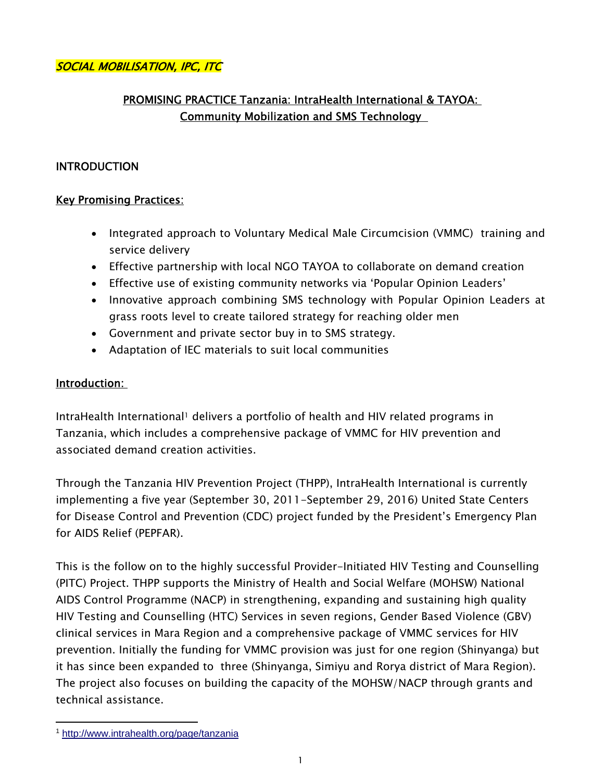# PROMISING PRACTICE Tanzania: IntraHealth International & TAYOA: Community Mobilization and SMS Technology

# **INTRODUCTION**

## Key Promising Practices:

- Integrated approach to Voluntary Medical Male Circumcision (VMMC) training and service delivery
- Effective partnership with local NGO TAYOA to collaborate on demand creation
- Effective use of existing community networks via 'Popular Opinion Leaders'
- Innovative approach combining SMS technology with Popular Opinion Leaders at grass roots level to create tailored strategy for reaching older men
- Government and private sector buy in to SMS strategy.
- Adaptation of IEC materials to suit local communities

### Introduction:

IntraHealth International<sup>1</sup> delivers a portfolio of health and HIV related programs in Tanzania, which includes a comprehensive package of VMMC for HIV prevention and associated demand creation activities.

Through the Tanzania HIV Prevention Project (THPP), IntraHealth International is currently implementing a five year (September 30, 2011-September 29, 2016) United State Centers for Disease Control and Prevention (CDC) project funded by the President's Emergency Plan for AIDS Relief (PEPFAR).

This is the follow on to the highly successful Provider-Initiated HIV Testing and Counselling (PITC) Project. THPP supports the Ministry of Health and Social Welfare (MOHSW) National AIDS Control Programme (NACP) in strengthening, expanding and sustaining high quality HIV Testing and Counselling (HTC) Services in seven regions, Gender Based Violence (GBV) clinical services in Mara Region and a comprehensive package of VMMC services for HIV prevention. Initially the funding for VMMC provision was just for one region (Shinyanga) but it has since been expanded to three (Shinyanga, Simiyu and Rorya district of Mara Region). The project also focuses on building the capacity of the MOHSW/NACP through grants and technical assistance.

 $\overline{a}$ <sup>1</sup> http://www.intrahealth.org/page/tanzania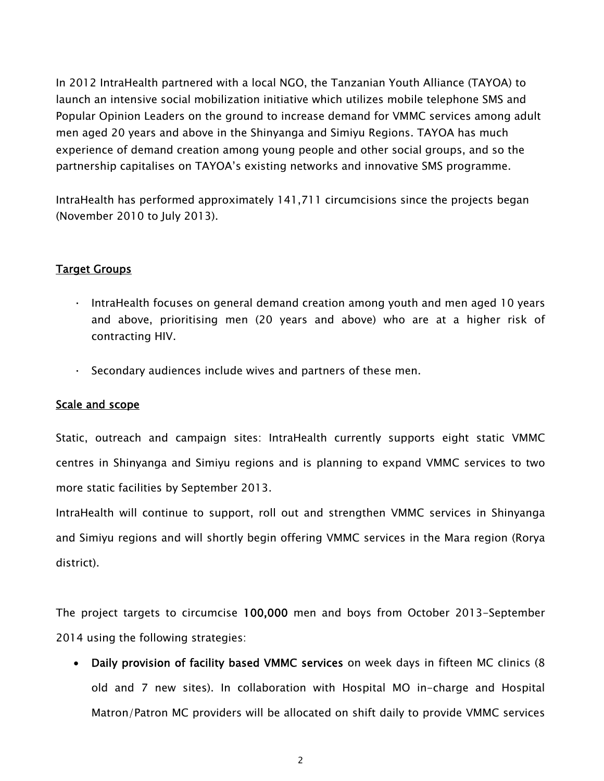In 2012 IntraHealth partnered with a local NGO, the Tanzanian Youth Alliance (TAYOA) to launch an intensive social mobilization initiative which utilizes mobile telephone SMS and Popular Opinion Leaders on the ground to increase demand for VMMC services among adult men aged 20 years and above in the Shinyanga and Simiyu Regions. TAYOA has much experience of demand creation among young people and other social groups, and so the partnership capitalises on TAYOA's existing networks and innovative SMS programme.

IntraHealth has performed approximately 141,711 circumcisions since the projects began (November 2010 to July 2013).

### Target Groups

- · IntraHealth focuses on general demand creation among youth and men aged 10 years and above, prioritising men (20 years and above) who are at a higher risk of contracting HIV.
- · Secondary audiences include wives and partners of these men.

### Scale and scope

Static, outreach and campaign sites: IntraHealth currently supports eight static VMMC centres in Shinyanga and Simiyu regions and is planning to expand VMMC services to two more static facilities by September 2013.

IntraHealth will continue to support, roll out and strengthen VMMC services in Shinyanga and Simiyu regions and will shortly begin offering VMMC services in the Mara region (Rorya district).

The project targets to circumcise 100,000 men and boys from October 2013-September 2014 using the following strategies:

• Daily provision of facility based VMMC services on week days in fifteen MC clinics (8 old and 7 new sites). In collaboration with Hospital MO in-charge and Hospital Matron/Patron MC providers will be allocated on shift daily to provide VMMC services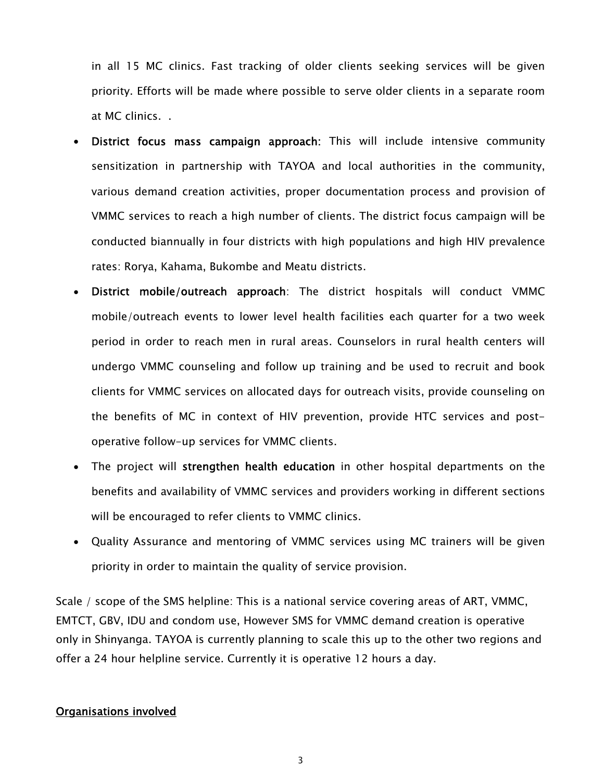in all 15 MC clinics. Fast tracking of older clients seeking services will be given priority. Efforts will be made where possible to serve older clients in a separate room at MC clinics. .

- District focus mass campaign approach: This will include intensive community sensitization in partnership with TAYOA and local authorities in the community, various demand creation activities, proper documentation process and provision of VMMC services to reach a high number of clients. The district focus campaign will be conducted biannually in four districts with high populations and high HIV prevalence rates: Rorya, Kahama, Bukombe and Meatu districts.
- District mobile/outreach approach: The district hospitals will conduct VMMC mobile/outreach events to lower level health facilities each quarter for a two week period in order to reach men in rural areas. Counselors in rural health centers will undergo VMMC counseling and follow up training and be used to recruit and book clients for VMMC services on allocated days for outreach visits, provide counseling on the benefits of MC in context of HIV prevention, provide HTC services and postoperative follow-up services for VMMC clients.
- The project will strengthen health education in other hospital departments on the benefits and availability of VMMC services and providers working in different sections will be encouraged to refer clients to VMMC clinics.
- Quality Assurance and mentoring of VMMC services using MC trainers will be given priority in order to maintain the quality of service provision.

Scale / scope of the SMS helpline: This is a national service covering areas of ART, VMMC, EMTCT, GBV, IDU and condom use, However SMS for VMMC demand creation is operative only in Shinyanga. TAYOA is currently planning to scale this up to the other two regions and offer a 24 hour helpline service. Currently it is operative 12 hours a day.

#### Organisations involved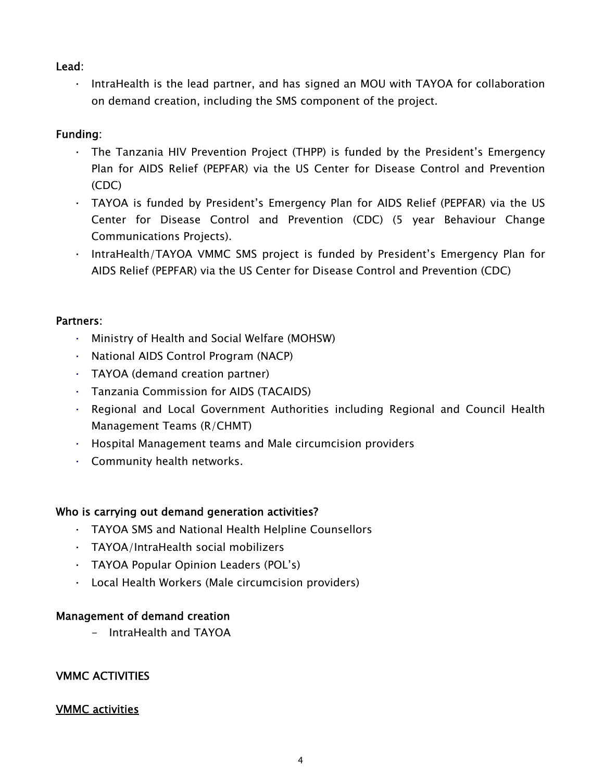## Lead:

· IntraHealth is the lead partner, and has signed an MOU with TAYOA for collaboration on demand creation, including the SMS component of the project.

## Funding:

- · The Tanzania HIV Prevention Project (THPP) is funded by the President's Emergency Plan for AIDS Relief (PEPFAR) via the US Center for Disease Control and Prevention (CDC)
- · TAYOA is funded by President's Emergency Plan for AIDS Relief (PEPFAR) via the US Center for Disease Control and Prevention (CDC) (5 year Behaviour Change Communications Projects).
- · IntraHealth/TAYOA VMMC SMS project is funded by President's Emergency Plan for AIDS Relief (PEPFAR) via the US Center for Disease Control and Prevention (CDC)

## Partners:

- · Ministry of Health and Social Welfare (MOHSW)
- · National AIDS Control Program (NACP)
- · TAYOA (demand creation partner)
- · Tanzania Commission for AIDS (TACAIDS)
- · Regional and Local Government Authorities including Regional and Council Health Management Teams (R/CHMT)
- · Hospital Management teams and Male circumcision providers
- · Community health networks.

## Who is carrying out demand generation activities?

- · TAYOA SMS and National Health Helpline Counsellors
- · TAYOA/IntraHealth social mobilizers
- · TAYOA Popular Opinion Leaders (POL's)
- · Local Health Workers (Male circumcision providers)

## Management of demand creation

- IntraHealth and TAYOA

## VMMC ACTIVITIES

### VMMC activities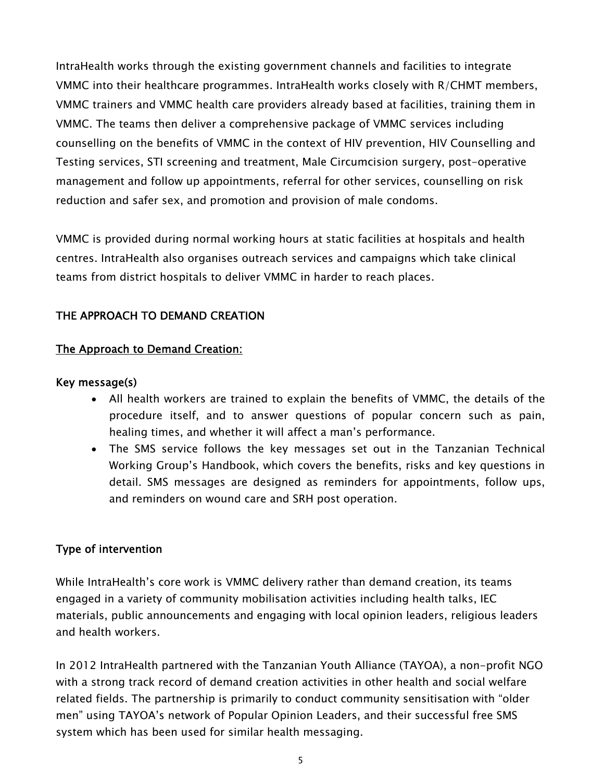IntraHealth works through the existing government channels and facilities to integrate VMMC into their healthcare programmes. IntraHealth works closely with R/CHMT members, VMMC trainers and VMMC health care providers already based at facilities, training them in VMMC. The teams then deliver a comprehensive package of VMMC services including counselling on the benefits of VMMC in the context of HIV prevention, HIV Counselling and Testing services, STI screening and treatment, Male Circumcision surgery, post-operative management and follow up appointments, referral for other services, counselling on risk reduction and safer sex, and promotion and provision of male condoms.

VMMC is provided during normal working hours at static facilities at hospitals and health centres. IntraHealth also organises outreach services and campaigns which take clinical teams from district hospitals to deliver VMMC in harder to reach places.

## THE APPROACH TO DEMAND CREATION

## The Approach to Demand Creation:

### Key message(s)

- All health workers are trained to explain the benefits of VMMC, the details of the procedure itself, and to answer questions of popular concern such as pain, healing times, and whether it will affect a man's performance.
- The SMS service follows the key messages set out in the Tanzanian Technical Working Group's Handbook, which covers the benefits, risks and key questions in detail. SMS messages are designed as reminders for appointments, follow ups, and reminders on wound care and SRH post operation.

## Type of intervention

While IntraHealth's core work is VMMC delivery rather than demand creation, its teams engaged in a variety of community mobilisation activities including health talks, IEC materials, public announcements and engaging with local opinion leaders, religious leaders and health workers.

In 2012 IntraHealth partnered with the Tanzanian Youth Alliance (TAYOA), a non-profit NGO with a strong track record of demand creation activities in other health and social welfare related fields. The partnership is primarily to conduct community sensitisation with "older men" using TAYOA's network of Popular Opinion Leaders, and their successful free SMS system which has been used for similar health messaging.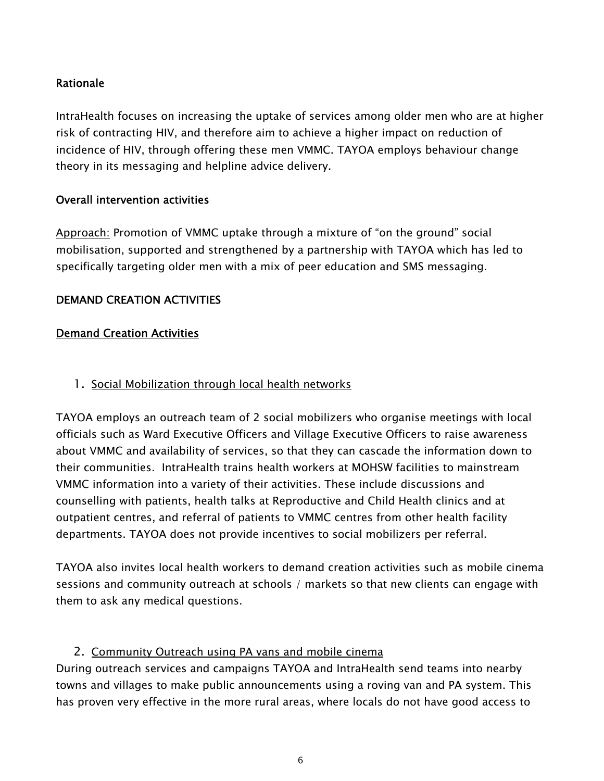## Rationale

IntraHealth focuses on increasing the uptake of services among older men who are at higher risk of contracting HIV, and therefore aim to achieve a higher impact on reduction of incidence of HIV, through offering these men VMMC. TAYOA employs behaviour change theory in its messaging and helpline advice delivery.

### Overall intervention activities

Approach: Promotion of VMMC uptake through a mixture of "on the ground" social mobilisation, supported and strengthened by a partnership with TAYOA which has led to specifically targeting older men with a mix of peer education and SMS messaging.

### DEMAND CREATION ACTIVITIES

### Demand Creation Activities

### 1. Social Mobilization through local health networks

TAYOA employs an outreach team of 2 social mobilizers who organise meetings with local officials such as Ward Executive Officers and Village Executive Officers to raise awareness about VMMC and availability of services, so that they can cascade the information down to their communities. IntraHealth trains health workers at MOHSW facilities to mainstream VMMC information into a variety of their activities. These include discussions and counselling with patients, health talks at Reproductive and Child Health clinics and at outpatient centres, and referral of patients to VMMC centres from other health facility departments. TAYOA does not provide incentives to social mobilizers per referral.

TAYOA also invites local health workers to demand creation activities such as mobile cinema sessions and community outreach at schools / markets so that new clients can engage with them to ask any medical questions.

### 2. Community Outreach using PA vans and mobile cinema

During outreach services and campaigns TAYOA and IntraHealth send teams into nearby towns and villages to make public announcements using a roving van and PA system. This has proven very effective in the more rural areas, where locals do not have good access to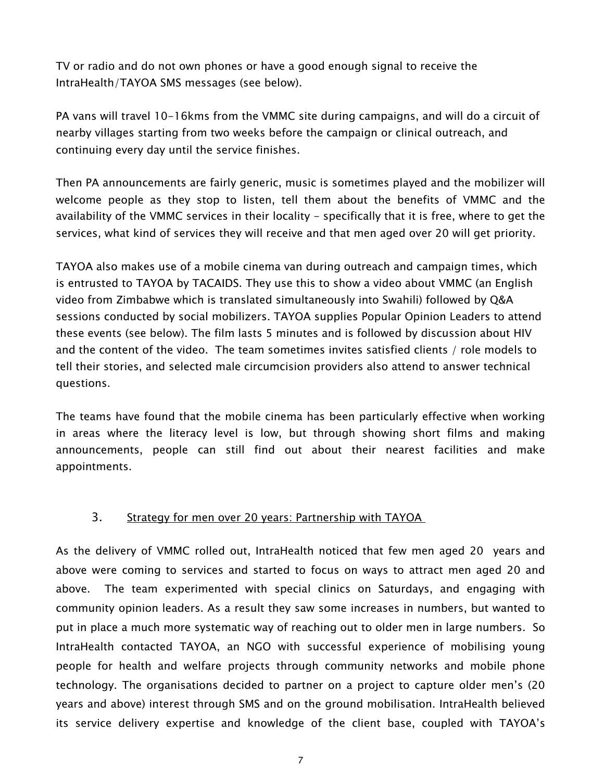TV or radio and do not own phones or have a good enough signal to receive the IntraHealth/TAYOA SMS messages (see below).

PA vans will travel 10-16kms from the VMMC site during campaigns, and will do a circuit of nearby villages starting from two weeks before the campaign or clinical outreach, and continuing every day until the service finishes.

Then PA announcements are fairly generic, music is sometimes played and the mobilizer will welcome people as they stop to listen, tell them about the benefits of VMMC and the availability of the VMMC services in their locality - specifically that it is free, where to get the services, what kind of services they will receive and that men aged over 20 will get priority.

TAYOA also makes use of a mobile cinema van during outreach and campaign times, which is entrusted to TAYOA by TACAIDS. They use this to show a video about VMMC (an English video from Zimbabwe which is translated simultaneously into Swahili) followed by Q&A sessions conducted by social mobilizers. TAYOA supplies Popular Opinion Leaders to attend these events (see below). The film lasts 5 minutes and is followed by discussion about HIV and the content of the video. The team sometimes invites satisfied clients / role models to tell their stories, and selected male circumcision providers also attend to answer technical questions.

The teams have found that the mobile cinema has been particularly effective when working in areas where the literacy level is low, but through showing short films and making announcements, people can still find out about their nearest facilities and make appointments.

### 3. Strategy for men over 20 years: Partnership with TAYOA

As the delivery of VMMC rolled out, IntraHealth noticed that few men aged 20 years and above were coming to services and started to focus on ways to attract men aged 20 and above. The team experimented with special clinics on Saturdays, and engaging with community opinion leaders. As a result they saw some increases in numbers, but wanted to put in place a much more systematic way of reaching out to older men in large numbers. So IntraHealth contacted TAYOA, an NGO with successful experience of mobilising young people for health and welfare projects through community networks and mobile phone technology. The organisations decided to partner on a project to capture older men's (20 years and above) interest through SMS and on the ground mobilisation. IntraHealth believed its service delivery expertise and knowledge of the client base, coupled with TAYOA's

7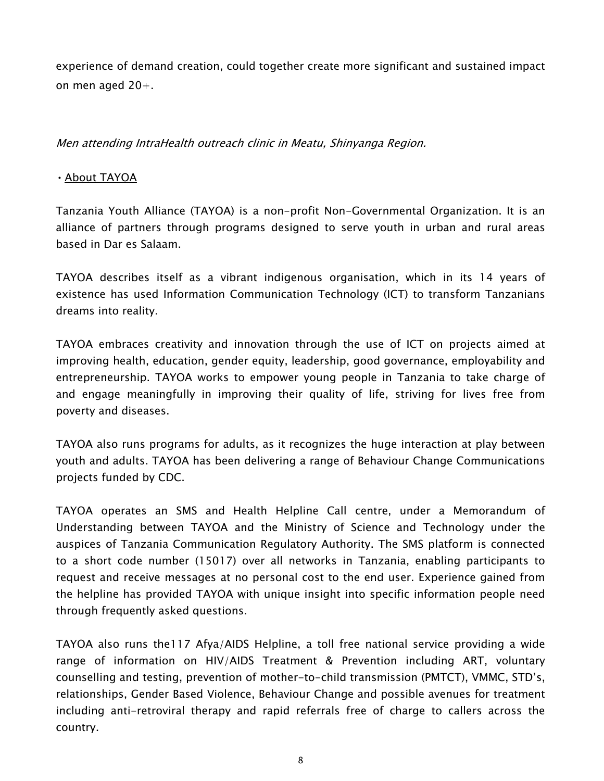experience of demand creation, could together create more significant and sustained impact on men aged 20+.

## Men attending IntraHealth outreach clinic in Meatu, Shinyanga Region.

### •About TAYOA

Tanzania Youth Alliance (TAYOA) is a non-profit Non-Governmental Organization. It is an alliance of partners through programs designed to serve youth in urban and rural areas based in Dar es Salaam.

TAYOA describes itself as a vibrant indigenous organisation, which in its 14 years of existence has used Information Communication Technology (ICT) to transform Tanzanians dreams into reality.

TAYOA embraces creativity and innovation through the use of ICT on projects aimed at improving health, education, gender equity, leadership, good governance, employability and entrepreneurship. TAYOA works to empower young people in Tanzania to take charge of and engage meaningfully in improving their quality of life, striving for lives free from poverty and diseases.

TAYOA also runs programs for adults, as it recognizes the huge interaction at play between youth and adults. TAYOA has been delivering a range of Behaviour Change Communications projects funded by CDC.

TAYOA operates an SMS and Health Helpline Call centre, under a Memorandum of Understanding between TAYOA and the Ministry of Science and Technology under the auspices of Tanzania Communication Regulatory Authority. The SMS platform is connected to a short code number (15017) over all networks in Tanzania, enabling participants to request and receive messages at no personal cost to the end user. Experience gained from the helpline has provided TAYOA with unique insight into specific information people need through frequently asked questions.

TAYOA also runs the117 Afya/AIDS Helpline, a toll free national service providing a wide range of information on HIV/AIDS Treatment & Prevention including ART, voluntary counselling and testing, prevention of mother-to-child transmission (PMTCT), VMMC, STD's, relationships, Gender Based Violence, Behaviour Change and possible avenues for treatment including anti-retroviral therapy and rapid referrals free of charge to callers across the country.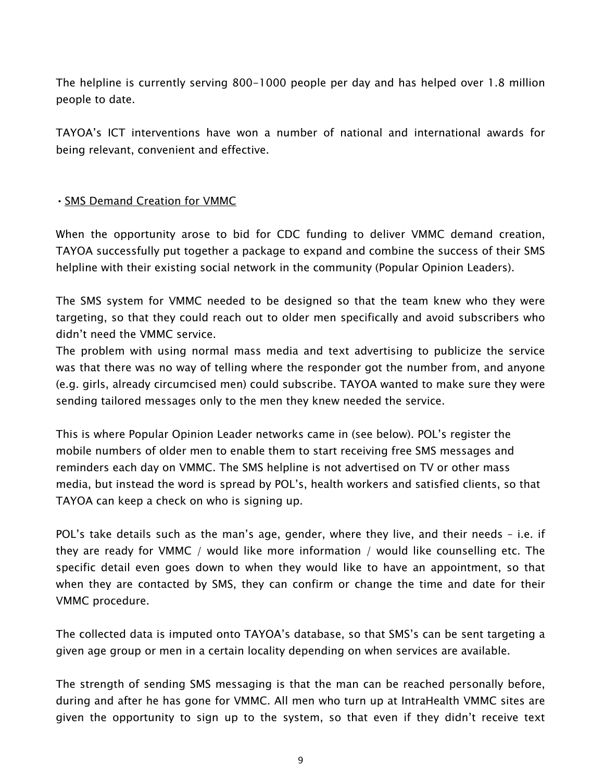The helpline is currently serving 800-1000 people per day and has helped over 1.8 million people to date.

TAYOA's ICT interventions have won a number of national and international awards for being relevant, convenient and effective.

### •SMS Demand Creation for VMMC

When the opportunity arose to bid for CDC funding to deliver VMMC demand creation, TAYOA successfully put together a package to expand and combine the success of their SMS helpline with their existing social network in the community (Popular Opinion Leaders).

The SMS system for VMMC needed to be designed so that the team knew who they were targeting, so that they could reach out to older men specifically and avoid subscribers who didn't need the VMMC service.

The problem with using normal mass media and text advertising to publicize the service was that there was no way of telling where the responder got the number from, and anyone (e.g. girls, already circumcised men) could subscribe. TAYOA wanted to make sure they were sending tailored messages only to the men they knew needed the service.

This is where Popular Opinion Leader networks came in (see below). POL's register the mobile numbers of older men to enable them to start receiving free SMS messages and reminders each day on VMMC. The SMS helpline is not advertised on TV or other mass media, but instead the word is spread by POL's, health workers and satisfied clients, so that TAYOA can keep a check on who is signing up.

POL's take details such as the man's age, gender, where they live, and their needs – i.e. if they are ready for VMMC / would like more information / would like counselling etc. The specific detail even goes down to when they would like to have an appointment, so that when they are contacted by SMS, they can confirm or change the time and date for their VMMC procedure.

The collected data is imputed onto TAYOA's database, so that SMS's can be sent targeting a given age group or men in a certain locality depending on when services are available.

The strength of sending SMS messaging is that the man can be reached personally before, during and after he has gone for VMMC. All men who turn up at IntraHealth VMMC sites are given the opportunity to sign up to the system, so that even if they didn't receive text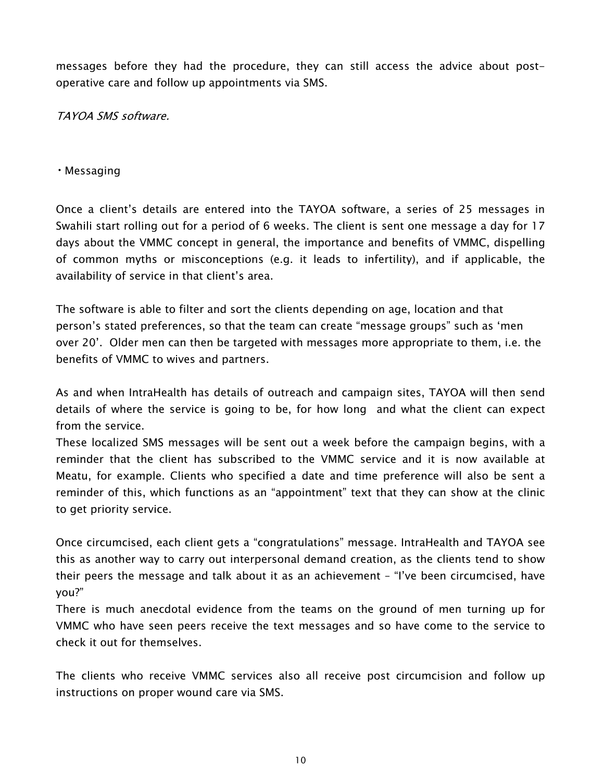messages before they had the procedure, they can still access the advice about postoperative care and follow up appointments via SMS.

TAYOA SMS software.

•Messaging

Once a client's details are entered into the TAYOA software, a series of 25 messages in Swahili start rolling out for a period of 6 weeks. The client is sent one message a day for 17 days about the VMMC concept in general, the importance and benefits of VMMC, dispelling of common myths or misconceptions (e.g. it leads to infertility), and if applicable, the availability of service in that client's area.

The software is able to filter and sort the clients depending on age, location and that person's stated preferences, so that the team can create "message groups" such as 'men over 20'. Older men can then be targeted with messages more appropriate to them, i.e. the benefits of VMMC to wives and partners.

As and when IntraHealth has details of outreach and campaign sites, TAYOA will then send details of where the service is going to be, for how long and what the client can expect from the service.

These localized SMS messages will be sent out a week before the campaign begins, with a reminder that the client has subscribed to the VMMC service and it is now available at Meatu, for example. Clients who specified a date and time preference will also be sent a reminder of this, which functions as an "appointment" text that they can show at the clinic to get priority service.

Once circumcised, each client gets a "congratulations" message. IntraHealth and TAYOA see this as another way to carry out interpersonal demand creation, as the clients tend to show their peers the message and talk about it as an achievement – "I've been circumcised, have you?"

There is much anecdotal evidence from the teams on the ground of men turning up for VMMC who have seen peers receive the text messages and so have come to the service to check it out for themselves.

The clients who receive VMMC services also all receive post circumcision and follow up instructions on proper wound care via SMS.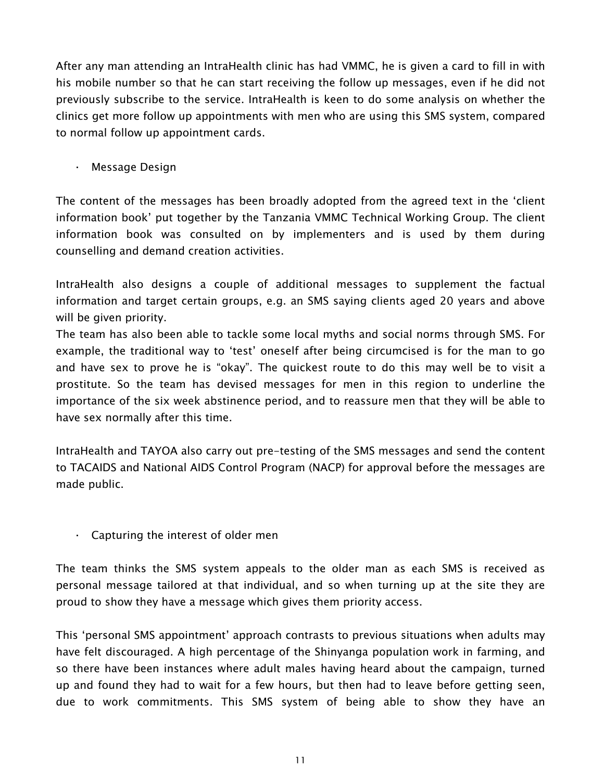After any man attending an IntraHealth clinic has had VMMC, he is given a card to fill in with his mobile number so that he can start receiving the follow up messages, even if he did not previously subscribe to the service. IntraHealth is keen to do some analysis on whether the clinics get more follow up appointments with men who are using this SMS system, compared to normal follow up appointment cards.

· Message Design

The content of the messages has been broadly adopted from the agreed text in the 'client information book' put together by the Tanzania VMMC Technical Working Group. The client information book was consulted on by implementers and is used by them during counselling and demand creation activities.

IntraHealth also designs a couple of additional messages to supplement the factual information and target certain groups, e.g. an SMS saying clients aged 20 years and above will be given priority.

The team has also been able to tackle some local myths and social norms through SMS. For example, the traditional way to 'test' oneself after being circumcised is for the man to go and have sex to prove he is "okay". The quickest route to do this may well be to visit a prostitute. So the team has devised messages for men in this region to underline the importance of the six week abstinence period, and to reassure men that they will be able to have sex normally after this time.

IntraHealth and TAYOA also carry out pre-testing of the SMS messages and send the content to TACAIDS and National AIDS Control Program (NACP) for approval before the messages are made public.

· Capturing the interest of older men

The team thinks the SMS system appeals to the older man as each SMS is received as personal message tailored at that individual, and so when turning up at the site they are proud to show they have a message which gives them priority access.

This 'personal SMS appointment' approach contrasts to previous situations when adults may have felt discouraged. A high percentage of the Shinyanga population work in farming, and so there have been instances where adult males having heard about the campaign, turned up and found they had to wait for a few hours, but then had to leave before getting seen, due to work commitments. This SMS system of being able to show they have an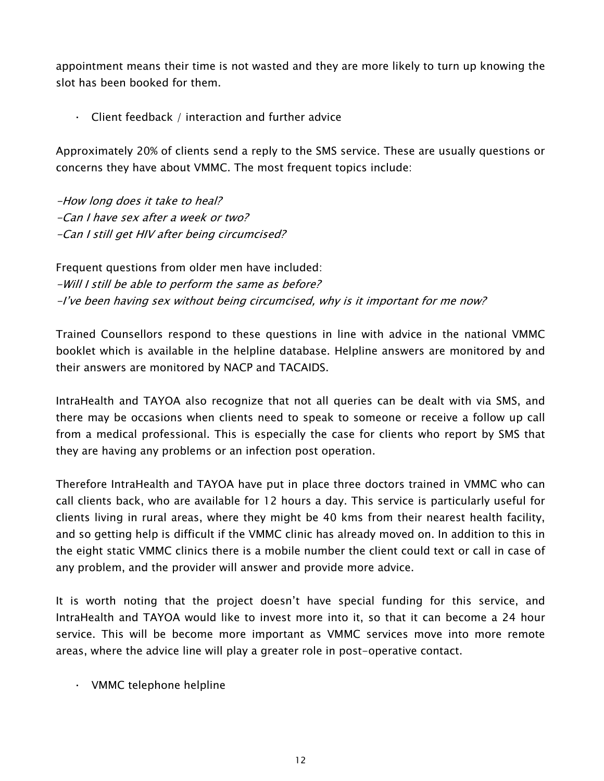appointment means their time is not wasted and they are more likely to turn up knowing the slot has been booked for them.

· Client feedback / interaction and further advice

Approximately 20% of clients send a reply to the SMS service. These are usually questions or concerns they have about VMMC. The most frequent topics include:

-How long does it take to heal? -Can I have sex after a week or two? -Can I still get HIV after being circumcised?

Frequent questions from older men have included: -Will I still be able to perform the same as before? -I've been having sex without being circumcised, why is it important for me now?

Trained Counsellors respond to these questions in line with advice in the national VMMC booklet which is available in the helpline database. Helpline answers are monitored by and their answers are monitored by NACP and TACAIDS.

IntraHealth and TAYOA also recognize that not all queries can be dealt with via SMS, and there may be occasions when clients need to speak to someone or receive a follow up call from a medical professional. This is especially the case for clients who report by SMS that they are having any problems or an infection post operation.

Therefore IntraHealth and TAYOA have put in place three doctors trained in VMMC who can call clients back, who are available for 12 hours a day. This service is particularly useful for clients living in rural areas, where they might be 40 kms from their nearest health facility, and so getting help is difficult if the VMMC clinic has already moved on. In addition to this in the eight static VMMC clinics there is a mobile number the client could text or call in case of any problem, and the provider will answer and provide more advice.

It is worth noting that the project doesn't have special funding for this service, and IntraHealth and TAYOA would like to invest more into it, so that it can become a 24 hour service. This will be become more important as VMMC services move into more remote areas, where the advice line will play a greater role in post-operative contact.

· VMMC telephone helpline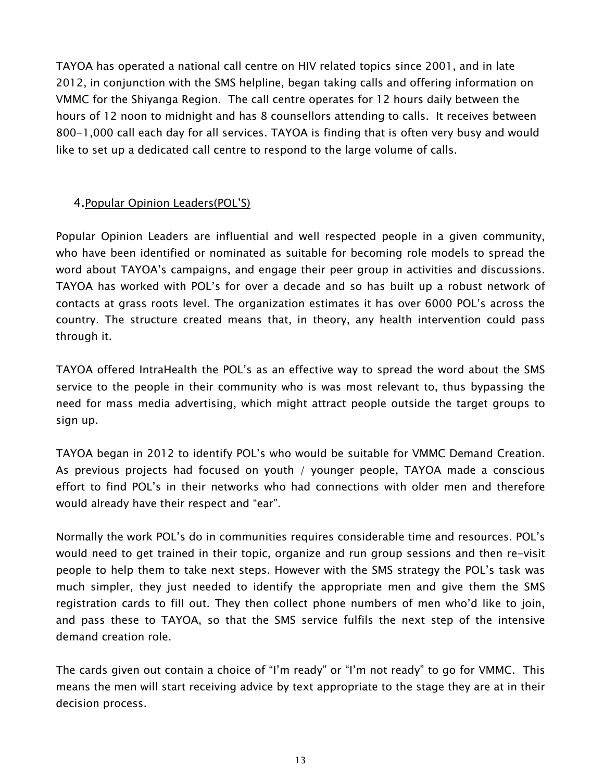TAYOA has operated a national call centre on HIV related topics since 2001, and in late 2012, in conjunction with the SMS helpline, began taking calls and offering information on VMMC for the Shiyanga Region. The call centre operates for 12 hours daily between the hours of 12 noon to midnight and has 8 counsellors attending to calls. It receives between 800-1,000 call each day for all services. TAYOA is finding that is often very busy and would like to set up a dedicated call centre to respond to the large volume of calls.

### 4.Popular Opinion Leaders(POL'S)

Popular Opinion Leaders are influential and well respected people in a given community, who have been identified or nominated as suitable for becoming role models to spread the word about TAYOA's campaigns, and engage their peer group in activities and discussions. TAYOA has worked with POL's for over a decade and so has built up a robust network of contacts at grass roots level. The organization estimates it has over 6000 POL's across the country. The structure created means that, in theory, any health intervention could pass through it.

TAYOA offered IntraHealth the POL's as an effective way to spread the word about the SMS service to the people in their community who is was most relevant to, thus bypassing the need for mass media advertising, which might attract people outside the target groups to sign up.

TAYOA began in 2012 to identify POL's who would be suitable for VMMC Demand Creation. As previous projects had focused on youth / younger people, TAYOA made a conscious effort to find POL's in their networks who had connections with older men and therefore would already have their respect and "ear".

Normally the work POL's do in communities requires considerable time and resources. POL's would need to get trained in their topic, organize and run group sessions and then re-visit people to help them to take next steps. However with the SMS strategy the POL's task was much simpler, they just needed to identify the appropriate men and give them the SMS registration cards to fill out. They then collect phone numbers of men who'd like to join, and pass these to TAYOA, so that the SMS service fulfils the next step of the intensive demand creation role.

The cards given out contain a choice of "I'm ready" or "I'm not ready" to go for VMMC. This means the men will start receiving advice by text appropriate to the stage they are at in their decision process.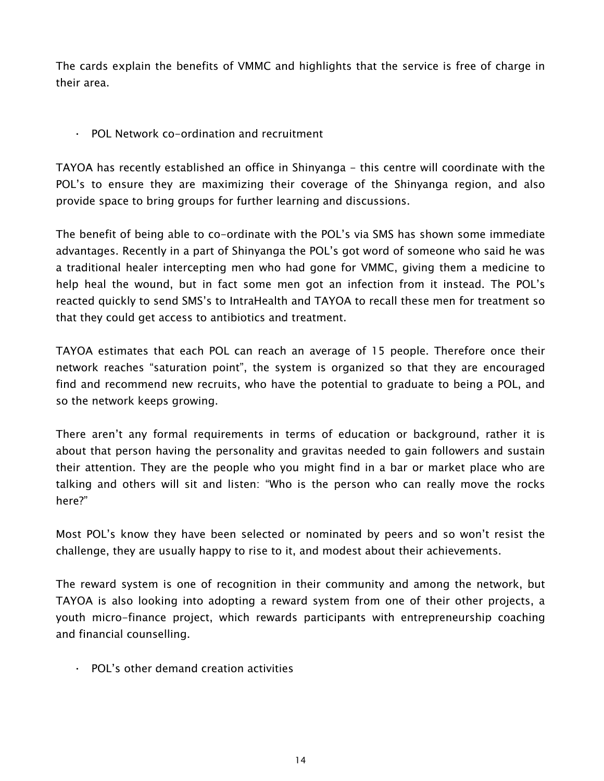The cards explain the benefits of VMMC and highlights that the service is free of charge in their area.

· POL Network co-ordination and recruitment

TAYOA has recently established an office in Shinyanga - this centre will coordinate with the POL's to ensure they are maximizing their coverage of the Shinyanga region, and also provide space to bring groups for further learning and discussions.

The benefit of being able to co-ordinate with the POL's via SMS has shown some immediate advantages. Recently in a part of Shinyanga the POL's got word of someone who said he was a traditional healer intercepting men who had gone for VMMC, giving them a medicine to help heal the wound, but in fact some men got an infection from it instead. The POL's reacted quickly to send SMS's to IntraHealth and TAYOA to recall these men for treatment so that they could get access to antibiotics and treatment.

TAYOA estimates that each POL can reach an average of 15 people. Therefore once their network reaches "saturation point", the system is organized so that they are encouraged find and recommend new recruits, who have the potential to graduate to being a POL, and so the network keeps growing.

There aren't any formal requirements in terms of education or background, rather it is about that person having the personality and gravitas needed to gain followers and sustain their attention. They are the people who you might find in a bar or market place who are talking and others will sit and listen: "Who is the person who can really move the rocks here?"

Most POL's know they have been selected or nominated by peers and so won't resist the challenge, they are usually happy to rise to it, and modest about their achievements.

The reward system is one of recognition in their community and among the network, but TAYOA is also looking into adopting a reward system from one of their other projects, a youth micro-finance project, which rewards participants with entrepreneurship coaching and financial counselling.

· POL's other demand creation activities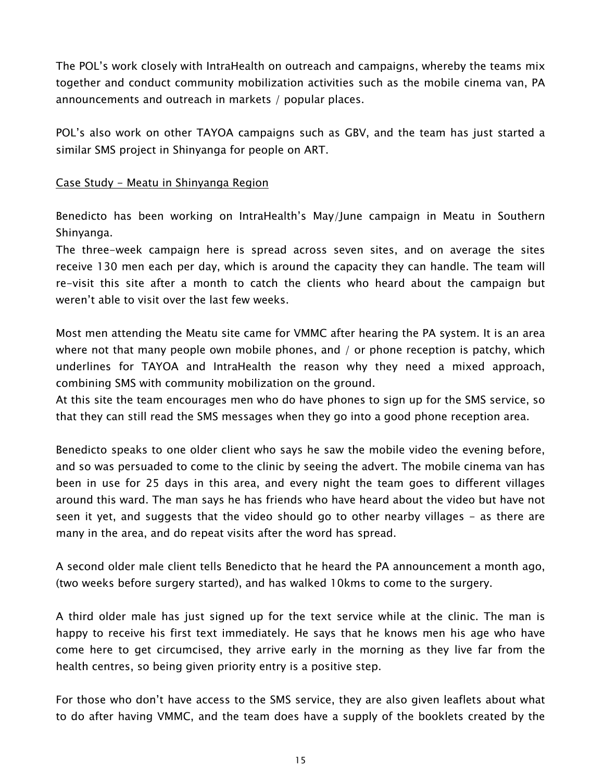The POL's work closely with IntraHealth on outreach and campaigns, whereby the teams mix together and conduct community mobilization activities such as the mobile cinema van, PA announcements and outreach in markets / popular places.

POL's also work on other TAYOA campaigns such as GBV, and the team has just started a similar SMS project in Shinyanga for people on ART.

#### Case Study - Meatu in Shinyanga Region

Benedicto has been working on IntraHealth's May/June campaign in Meatu in Southern Shinyanga.

The three-week campaign here is spread across seven sites, and on average the sites receive 130 men each per day, which is around the capacity they can handle. The team will re-visit this site after a month to catch the clients who heard about the campaign but weren't able to visit over the last few weeks.

Most men attending the Meatu site came for VMMC after hearing the PA system. It is an area where not that many people own mobile phones, and / or phone reception is patchy, which underlines for TAYOA and IntraHealth the reason why they need a mixed approach, combining SMS with community mobilization on the ground.

At this site the team encourages men who do have phones to sign up for the SMS service, so that they can still read the SMS messages when they go into a good phone reception area.

Benedicto speaks to one older client who says he saw the mobile video the evening before, and so was persuaded to come to the clinic by seeing the advert. The mobile cinema van has been in use for 25 days in this area, and every night the team goes to different villages around this ward. The man says he has friends who have heard about the video but have not seen it yet, and suggests that the video should go to other nearby villages – as there are many in the area, and do repeat visits after the word has spread.

A second older male client tells Benedicto that he heard the PA announcement a month ago, (two weeks before surgery started), and has walked 10kms to come to the surgery.

A third older male has just signed up for the text service while at the clinic. The man is happy to receive his first text immediately. He says that he knows men his age who have come here to get circumcised, they arrive early in the morning as they live far from the health centres, so being given priority entry is a positive step.

For those who don't have access to the SMS service, they are also given leaflets about what to do after having VMMC, and the team does have a supply of the booklets created by the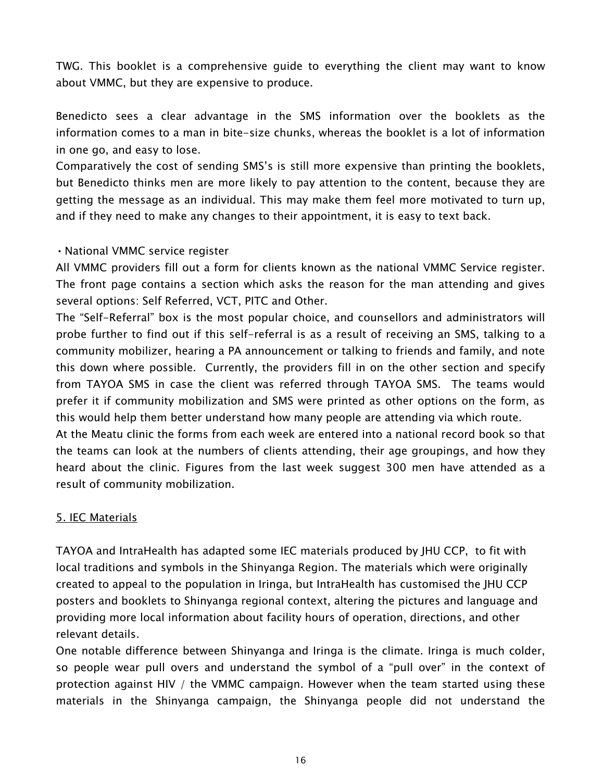TWG. This booklet is a comprehensive guide to everything the client may want to know about VMMC, but they are expensive to produce.

Benedicto sees a clear advantage in the SMS information over the booklets as the information comes to a man in bite-size chunks, whereas the booklet is a lot of information in one go, and easy to lose.

Comparatively the cost of sending SMS's is still more expensive than printing the booklets, but Benedicto thinks men are more likely to pay attention to the content, because they are getting the message as an individual. This may make them feel more motivated to turn up, and if they need to make any changes to their appointment, it is easy to text back.

#### •National VMMC service register

All VMMC providers fill out a form for clients known as the national VMMC Service register. The front page contains a section which asks the reason for the man attending and gives several options: Self Referred, VCT, PITC and Other.

The "Self-Referral" box is the most popular choice, and counsellors and administrators will probe further to find out if this self-referral is as a result of receiving an SMS, talking to a community mobilizer, hearing a PA announcement or talking to friends and family, and note this down where possible. Currently, the providers fill in on the other section and specify from TAYOA SMS in case the client was referred through TAYOA SMS. The teams would prefer it if community mobilization and SMS were printed as other options on the form, as this would help them better understand how many people are attending via which route.

At the Meatu clinic the forms from each week are entered into a national record book so that the teams can look at the numbers of clients attending, their age groupings, and how they heard about the clinic. Figures from the last week suggest 300 men have attended as a result of community mobilization.

### 5. IEC Materials

TAYOA and IntraHealth has adapted some IEC materials produced by JHU CCP, to fit with local traditions and symbols in the Shinyanga Region. The materials which were originally created to appeal to the population in Iringa, but IntraHealth has customised the JHU CCP posters and booklets to Shinyanga regional context, altering the pictures and language and providing more local information about facility hours of operation, directions, and other relevant details.

One notable difference between Shinyanga and Iringa is the climate. Iringa is much colder, so people wear pull overs and understand the symbol of a "pull over" in the context of protection against HIV / the VMMC campaign. However when the team started using these materials in the Shinyanga campaign, the Shinyanga people did not understand the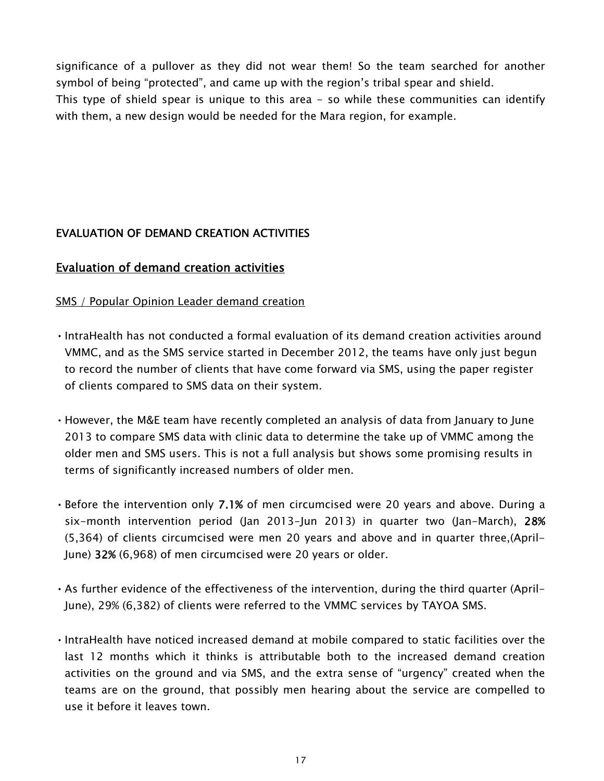significance of a pullover as they did not wear them! So the team searched for another symbol of being "protected", and came up with the region's tribal spear and shield. This type of shield spear is unique to this area  $-$  so while these communities can identify with them, a new design would be needed for the Mara region, for example.

# EVALUATION OF DEMAND CREATION ACTIVITIES

# Evaluation of demand creation activities

### SMS / Popular Opinion Leader demand creation

- •IntraHealth has not conducted a formal evaluation of its demand creation activities around VMMC, and as the SMS service started in December 2012, the teams have only just begun to record the number of clients that have come forward via SMS, using the paper register of clients compared to SMS data on their system.
- •However, the M&E team have recently completed an analysis of data from January to June 2013 to compare SMS data with clinic data to determine the take up of VMMC among the older men and SMS users. This is not a full analysis but shows some promising results in terms of significantly increased numbers of older men.
- •Before the intervention only 7.1% of men circumcised were 20 years and above. During a six-month intervention period (Jan 2013-Jun 2013) in quarter two (Jan-March), 28% (5,364) of clients circumcised were men 20 years and above and in quarter three,(April-June) 32% (6,968) of men circumcised were 20 years or older.
- •As further evidence of the effectiveness of the intervention, during the third quarter (April-June), 29% (6,382) of clients were referred to the VMMC services by TAYOA SMS.
- •IntraHealth have noticed increased demand at mobile compared to static facilities over the last 12 months which it thinks is attributable both to the increased demand creation activities on the ground and via SMS, and the extra sense of "urgency" created when the teams are on the ground, that possibly men hearing about the service are compelled to use it before it leaves town.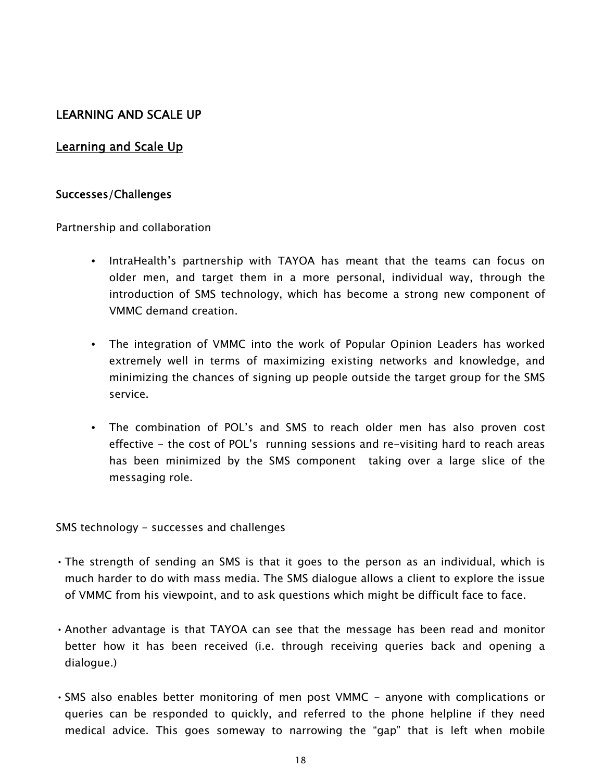# LEARNING AND SCALE UP

## Learning and Scale Up

### Successes/Challenges

Partnership and collaboration

- IntraHealth's partnership with TAYOA has meant that the teams can focus on older men, and target them in a more personal, individual way, through the introduction of SMS technology, which has become a strong new component of VMMC demand creation.
- The integration of VMMC into the work of Popular Opinion Leaders has worked extremely well in terms of maximizing existing networks and knowledge, and minimizing the chances of signing up people outside the target group for the SMS service.
- The combination of POL's and SMS to reach older men has also proven cost effective - the cost of POL's running sessions and re-visiting hard to reach areas has been minimized by the SMS component taking over a large slice of the messaging role.

SMS technology - successes and challenges

- •The strength of sending an SMS is that it goes to the person as an individual, which is much harder to do with mass media. The SMS dialogue allows a client to explore the issue of VMMC from his viewpoint, and to ask questions which might be difficult face to face.
- •Another advantage is that TAYOA can see that the message has been read and monitor better how it has been received (i.e. through receiving queries back and opening a dialogue.)
- •SMS also enables better monitoring of men post VMMC anyone with complications or queries can be responded to quickly, and referred to the phone helpline if they need medical advice. This goes someway to narrowing the "gap" that is left when mobile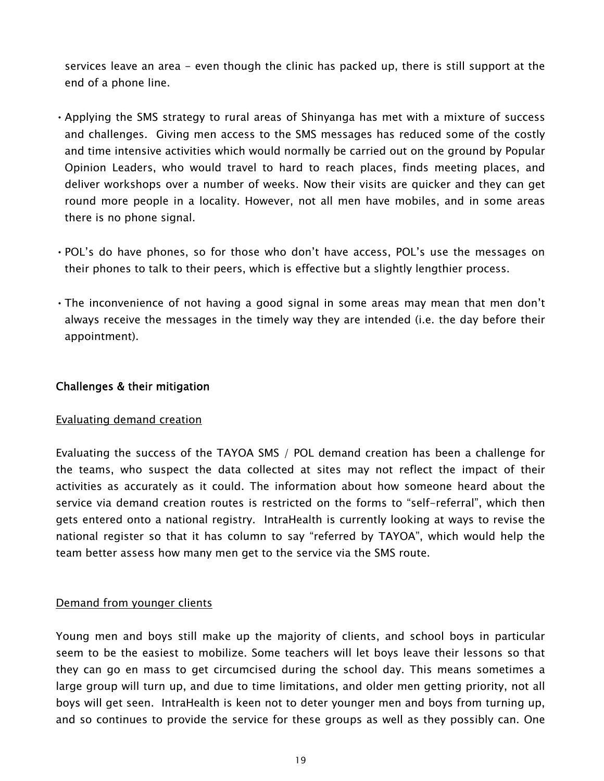services leave an area - even though the clinic has packed up, there is still support at the end of a phone line.

- •Applying the SMS strategy to rural areas of Shinyanga has met with a mixture of success and challenges. Giving men access to the SMS messages has reduced some of the costly and time intensive activities which would normally be carried out on the ground by Popular Opinion Leaders, who would travel to hard to reach places, finds meeting places, and deliver workshops over a number of weeks. Now their visits are quicker and they can get round more people in a locality. However, not all men have mobiles, and in some areas there is no phone signal.
- •POL's do have phones, so for those who don't have access, POL's use the messages on their phones to talk to their peers, which is effective but a slightly lengthier process.
- •The inconvenience of not having a good signal in some areas may mean that men don't always receive the messages in the timely way they are intended (i.e. the day before their appointment).

### Challenges & their mitigation

### Evaluating demand creation

Evaluating the success of the TAYOA SMS / POL demand creation has been a challenge for the teams, who suspect the data collected at sites may not reflect the impact of their activities as accurately as it could. The information about how someone heard about the service via demand creation routes is restricted on the forms to "self-referral", which then gets entered onto a national registry. IntraHealth is currently looking at ways to revise the national register so that it has column to say "referred by TAYOA", which would help the team better assess how many men get to the service via the SMS route.

#### Demand from younger clients

Young men and boys still make up the majority of clients, and school boys in particular seem to be the easiest to mobilize. Some teachers will let boys leave their lessons so that they can go en mass to get circumcised during the school day. This means sometimes a large group will turn up, and due to time limitations, and older men getting priority, not all boys will get seen. IntraHealth is keen not to deter younger men and boys from turning up, and so continues to provide the service for these groups as well as they possibly can. One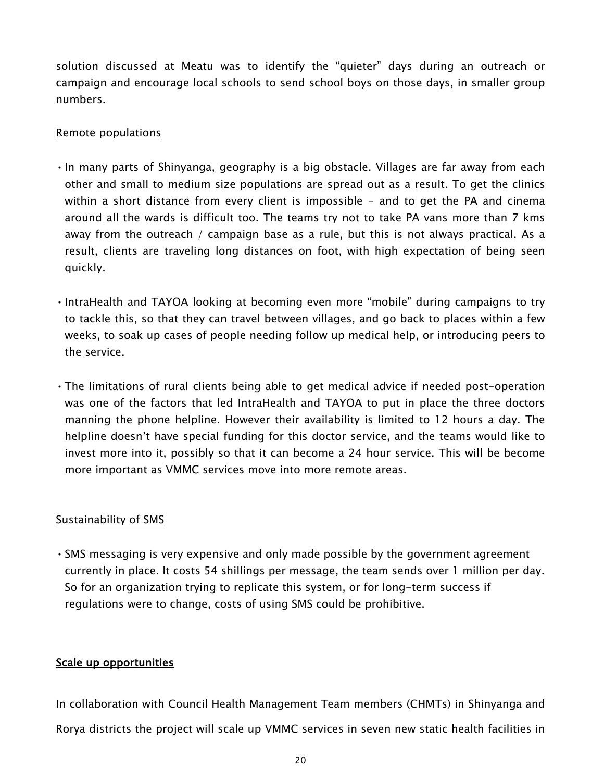solution discussed at Meatu was to identify the "quieter" days during an outreach or campaign and encourage local schools to send school boys on those days, in smaller group numbers.

#### Remote populations

- •In many parts of Shinyanga, geography is a big obstacle. Villages are far away from each other and small to medium size populations are spread out as a result. To get the clinics within a short distance from every client is impossible  $-$  and to get the PA and cinema around all the wards is difficult too. The teams try not to take PA vans more than 7 kms away from the outreach / campaign base as a rule, but this is not always practical. As a result, clients are traveling long distances on foot, with high expectation of being seen quickly.
- •IntraHealth and TAYOA looking at becoming even more "mobile" during campaigns to try to tackle this, so that they can travel between villages, and go back to places within a few weeks, to soak up cases of people needing follow up medical help, or introducing peers to the service.
- •The limitations of rural clients being able to get medical advice if needed post-operation was one of the factors that led IntraHealth and TAYOA to put in place the three doctors manning the phone helpline. However their availability is limited to 12 hours a day. The helpline doesn't have special funding for this doctor service, and the teams would like to invest more into it, possibly so that it can become a 24 hour service. This will be become more important as VMMC services move into more remote areas.

#### Sustainability of SMS

•SMS messaging is very expensive and only made possible by the government agreement currently in place. It costs 54 shillings per message, the team sends over 1 million per day. So for an organization trying to replicate this system, or for long-term success if regulations were to change, costs of using SMS could be prohibitive.

### Scale up opportunities

In collaboration with Council Health Management Team members (CHMTs) in Shinyanga and Rorya districts the project will scale up VMMC services in seven new static health facilities in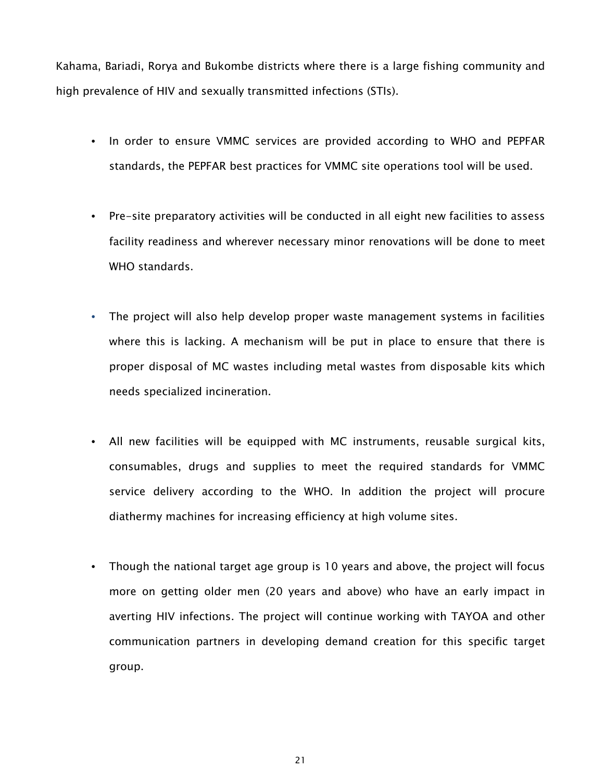Kahama, Bariadi, Rorya and Bukombe districts where there is a large fishing community and high prevalence of HIV and sexually transmitted infections (STIs).

- In order to ensure VMMC services are provided according to WHO and PEPFAR standards, the PEPFAR best practices for VMMC site operations tool will be used.
- Pre-site preparatory activities will be conducted in all eight new facilities to assess facility readiness and wherever necessary minor renovations will be done to meet WHO standards.
- The project will also help develop proper waste management systems in facilities where this is lacking. A mechanism will be put in place to ensure that there is proper disposal of MC wastes including metal wastes from disposable kits which needs specialized incineration.
- All new facilities will be equipped with MC instruments, reusable surgical kits, consumables, drugs and supplies to meet the required standards for VMMC service delivery according to the WHO. In addition the project will procure diathermy machines for increasing efficiency at high volume sites.
- Though the national target age group is 10 years and above, the project will focus more on getting older men (20 years and above) who have an early impact in averting HIV infections. The project will continue working with TAYOA and other communication partners in developing demand creation for this specific target group.